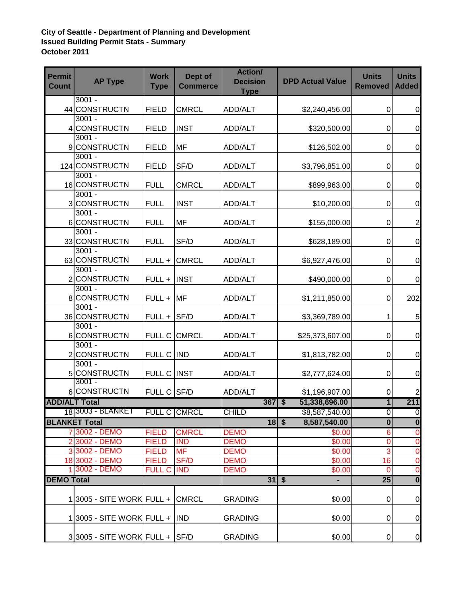## **City of Seattle - Department of Planning and Development Issued Building Permit Stats - Summary October 2011**

| <b>Permit</b><br><b>Count</b> | <b>AP Type</b>                    | <b>Work</b><br><b>Type</b> | Dept of<br><b>Commerce</b> | <b>Action/</b><br><b>Decision</b><br><b>Type</b> | <b>DPD Actual Value</b> | <b>Units</b><br><b>Removed</b> | <b>Units</b><br><b>Added</b> |
|-------------------------------|-----------------------------------|----------------------------|----------------------------|--------------------------------------------------|-------------------------|--------------------------------|------------------------------|
|                               | $3001 -$                          |                            |                            |                                                  |                         |                                |                              |
|                               | 44 CONSTRUCTN<br>$3001 -$         | <b>FIELD</b>               | <b>CMRCL</b>               | ADD/ALT                                          | \$2,240,456.00          | 0                              | 0                            |
|                               | 4 CONSTRUCTN                      | <b>FIELD</b>               | <b>INST</b>                | ADD/ALT                                          | \$320,500.00            | 0                              | $\boldsymbol{0}$             |
|                               | $3001 -$                          |                            |                            |                                                  |                         |                                |                              |
|                               | 9 CONSTRUCTN                      | <b>FIELD</b>               | MF                         | ADD/ALT                                          | \$126,502.00            | $\pmb{0}$                      | $\boldsymbol{0}$             |
|                               | $3001 -$                          |                            |                            |                                                  |                         |                                |                              |
|                               | 124 CONSTRUCTN                    | <b>FIELD</b>               | SF/D                       | ADD/ALT                                          | \$3,796,851.00          | 0                              | $\boldsymbol{0}$             |
|                               | $3001 -$                          |                            |                            |                                                  |                         |                                |                              |
|                               | 16 CONSTRUCTN                     | <b>FULL</b>                | <b>CMRCL</b>               | ADD/ALT                                          | \$899,963.00            | 0                              | $\boldsymbol{0}$             |
|                               | $3001 -$                          |                            | <b>INST</b>                |                                                  |                         |                                |                              |
|                               | 3 CONSTRUCTN<br>$3001 -$          | <b>FULL</b>                |                            | ADD/ALT                                          | \$10,200.00             | 0                              | $\boldsymbol{0}$             |
|                               | 6 CONSTRUCTN                      | <b>FULL</b>                | <b>MF</b>                  | ADD/ALT                                          | \$155,000.00            | $\mathsf{O}\xspace$            | $\overline{c}$               |
|                               | $3001 -$                          |                            |                            |                                                  |                         |                                |                              |
|                               | 33 CONSTRUCTN                     | <b>FULL</b>                | SF/D                       | ADD/ALT                                          | \$628,189.00            | $\pmb{0}$                      | $\pmb{0}$                    |
|                               | $3001 -$                          |                            |                            |                                                  |                         |                                |                              |
|                               | 63 CONSTRUCTN                     | FULL +                     | <b>CMRCL</b>               | ADD/ALT                                          | \$6,927,476.00          | $\mathsf 0$                    | $\pmb{0}$                    |
|                               | $3001 -$                          |                            |                            |                                                  |                         |                                |                              |
|                               | 2CONSTRUCTN<br>$3001 -$           | FULL + INST                |                            | ADD/ALT                                          | \$490,000.00            | $\pmb{0}$                      | $\boldsymbol{0}$             |
|                               | 8 CONSTRUCTN                      | FULL +                     | <b>MF</b>                  | ADD/ALT                                          | \$1,211,850.00          | $\pmb{0}$                      | 202                          |
|                               | $3001 -$                          |                            |                            |                                                  |                         |                                |                              |
|                               | 36 CONSTRUCTN                     | $FULL +  SF/D$             |                            | ADD/ALT                                          | \$3,369,789.00          | 1                              | 5                            |
|                               | $3001 -$                          |                            |                            |                                                  |                         |                                |                              |
|                               | 6 CONSTRUCTN                      |                            | FULL C CMRCL               | ADD/ALT                                          | \$25,373,607.00         | $\pmb{0}$                      | $\boldsymbol{0}$             |
|                               | $3001 -$                          |                            |                            |                                                  |                         |                                |                              |
|                               | 2 CONSTRUCTN                      | FULL C IND                 |                            | ADD/ALT                                          | \$1,813,782.00          | 0                              | $\boldsymbol{0}$             |
|                               | $3001 -$                          |                            |                            |                                                  |                         |                                |                              |
|                               | 5 CONSTRUCTN<br>$3001 -$          | FULL C INST                |                            | ADD/ALT                                          | \$2,777,624.00          | $\pmb{0}$                      | $\boldsymbol{0}$             |
|                               | 6 CONSTRUCTN                      | FULL C SF/D                |                            | ADD/ALT                                          | \$1,196,907.00          | $\mathbf 0$                    | $\overline{2}$               |
| <b>ADD/ALT Total</b>          |                                   |                            |                            | $367$ $$$                                        | 51,338,696.00           | $\overline{1}$                 | 211                          |
|                               | 18 3003 - BLANKET                 | <b>FULL C CMRCL</b>        |                            | <b>CHILD</b>                                     | \$8,587,540.00          | $\overline{0}$                 | $\overline{0}$               |
|                               | <b>BLANKET Total</b>              |                            |                            | $18$ \$                                          | 8,587,540.00            | $\overline{\mathbf{0}}$        | $\overline{\mathbf{0}}$      |
|                               | 73002 - DEMO                      | <b>FIELD</b>               | <b>CMRCL</b>               | <b>DEMO</b>                                      | \$0.00                  | 6                              | $\overline{0}$               |
|                               | 2 3002 - DEMO                     | <b>FIELD</b>               | <b>IND</b>                 | <b>DEMO</b>                                      | \$0.00                  | $\mathbf 0$                    | $\mathbf 0$                  |
|                               | 3 3002 - DEMO                     | <b>FIELD</b>               | <b>MF</b>                  | <b>DEMO</b>                                      | \$0.00                  | $\overline{3}$                 | $\overline{0}$               |
|                               | 18 3002 - DEMO<br>1 3002 - DEMO   | <b>FIELD</b>               | SF/D                       | <b>DEMO</b>                                      | \$0.00                  | 16                             | $\overline{0}$               |
|                               |                                   | <b>FULL C</b>              | <b>IND</b>                 | <b>DEMO</b>                                      | \$0.00                  | $\overline{0}$                 | $\overline{0}$               |
| <b>DEMO Total</b>             |                                   |                            |                            | $31 \, \sqrt{5}$                                 | ۰                       | 25                             | $\overline{\mathbf{0}}$      |
|                               | 13005 - SITE WORK FULL + CMRCL    |                            |                            | <b>GRADING</b>                                   | \$0.00                  | $\pmb{0}$                      | $\boldsymbol{0}$             |
|                               |                                   |                            |                            |                                                  |                         |                                |                              |
|                               | $1 3005 - SITE WORK FULL +  IND$  |                            |                            | <b>GRADING</b>                                   | \$0.00                  | 0                              | $\pmb{0}$                    |
|                               |                                   |                            |                            |                                                  |                         |                                |                              |
|                               | $3 3005 - SITE WORK FULL +  SF/D$ |                            |                            | <b>GRADING</b>                                   | \$0.00                  | $\pmb{0}$                      | $\overline{0}$               |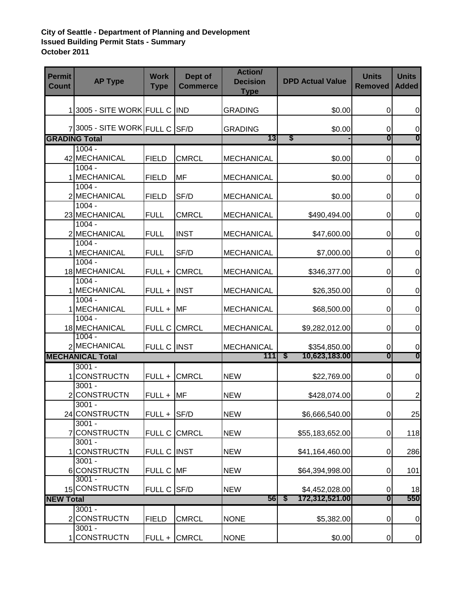## **City of Seattle - Department of Planning and Development Issued Building Permit Stats - Summary October 2011**

| <b>Permit</b><br><b>Count</b> | <b>AP Type</b>                       | <b>Work</b><br><b>Type</b> | Dept of<br><b>Commerce</b> | <b>Action/</b><br><b>Decision</b><br><b>Type</b> | <b>DPD Actual Value</b> | <b>Units</b><br><b>Removed</b> | <b>Units</b><br><b>Added</b> |
|-------------------------------|--------------------------------------|----------------------------|----------------------------|--------------------------------------------------|-------------------------|--------------------------------|------------------------------|
|                               | 13005 - SITE WORK FULL C IND         |                            |                            | <b>GRADING</b>                                   | \$0.00                  | $\pmb{0}$                      | $\mathbf 0$                  |
|                               |                                      |                            |                            |                                                  |                         |                                |                              |
|                               | 73005 - SITE WORK FULL C SF/D        |                            |                            | <b>GRADING</b>                                   | \$0.00                  | $\mathbf 0$                    | $\boldsymbol{0}$             |
| <b>GRADING Total</b>          |                                      |                            |                            | 13                                               | S                       | $\boldsymbol{0}$               | $\overline{\mathbf{0}}$      |
|                               | $1004 -$<br>42 MECHANICAL            | <b>FIELD</b>               | <b>CMRCL</b>               | <b>MECHANICAL</b>                                | \$0.00                  | $\pmb{0}$                      | $\boldsymbol{0}$             |
|                               | $1004 -$<br>1 MECHANICAL             | <b>FIELD</b>               | <b>MF</b>                  | <b>MECHANICAL</b>                                | \$0.00                  | $\pmb{0}$                      | $\boldsymbol{0}$             |
|                               | $1004 -$<br>2 MECHANICAL<br>$1004 -$ | <b>FIELD</b>               | SF/D                       | <b>MECHANICAL</b>                                | \$0.00                  | 0                              | $\boldsymbol{0}$             |
|                               | 23 MECHANICAL<br>$1004 -$            | <b>FULL</b>                | <b>CMRCL</b>               | <b>MECHANICAL</b>                                | \$490,494.00            | $\pmb{0}$                      | $\boldsymbol{0}$             |
|                               | 2 MECHANICAL<br>$1004 -$             | <b>FULL</b>                | <b>INST</b>                | <b>MECHANICAL</b>                                | \$47,600.00             | $\pmb{0}$                      | $\pmb{0}$                    |
|                               | 1 MECHANICAL<br>$1004 -$             | <b>FULL</b>                | SF/D                       | <b>MECHANICAL</b>                                | \$7,000.00              | $\pmb{0}$                      | $\boldsymbol{0}$             |
|                               | 18 MECHANICAL<br>$1004 -$            | FULL +                     | <b>CMRCL</b>               | <b>MECHANICAL</b>                                | \$346,377.00            | $\pmb{0}$                      | $\boldsymbol{0}$             |
|                               | 1 MECHANICAL<br>$1004 -$             | FULL +                     | <b>INST</b>                | <b>MECHANICAL</b>                                | \$26,350.00             | 0                              | $\boldsymbol{0}$             |
|                               | 1 MECHANICAL<br>$1004 -$             | FULL +                     | <b>MF</b>                  | <b>MECHANICAL</b>                                | \$68,500.00             | 0                              | $\boldsymbol{0}$             |
|                               | 18 MECHANICAL<br>$1004 -$            |                            | FULL C CMRCL               | <b>MECHANICAL</b>                                | \$9,282,012.00          | $\pmb{0}$                      | $\boldsymbol{0}$             |
|                               | 2 MECHANICAL                         | FULL C INST                |                            | <b>MECHANICAL</b>                                | \$354,850.00            | $\mathbf 0$                    | $\boldsymbol{0}$             |
| <b>MECHANICAL Total</b>       |                                      |                            |                            | 111                                              | 10,623,183.00<br>\$     | $\boldsymbol{0}$               | $\boldsymbol{0}$             |
|                               | $3001 -$<br>1 CONSTRUCTN             |                            | FULL + CMRCL               | <b>NEW</b>                                       | \$22,769.00             | $\pmb{0}$                      | $\mathbf 0$                  |
|                               | $3001 -$<br>2 CONSTRUCTN             | FULL +                     | MF                         | <b>NEW</b>                                       | \$428,074.00            | 0                              | $\overline{c}$               |
|                               | $3001 -$<br>24 CONSTRUCTN            | FULL + SF/D                |                            | <b>NEW</b>                                       | \$6,666,540.00          | $\overline{0}$                 | 25                           |
|                               | $3001 -$<br>7 CONSTRUCTN             |                            | FULL C CMRCL               | <b>NEW</b>                                       | \$55,183,652.00         | $\pmb{0}$                      | 118                          |
|                               | $3001 -$<br>1 CONSTRUCTN<br>$3001 -$ | FULL C INST                |                            | <b>NEW</b>                                       | \$41,164,460.00         | $\pmb{0}$                      | 286                          |
|                               | 6 CONSTRUCTN<br>$3001 -$             | FULL C MF                  |                            | <b>NEW</b>                                       | \$64,394,998.00         | 0                              | 101                          |
|                               | 15 CONSTRUCTN                        | FULL C SF/D                |                            | <b>NEW</b>                                       | \$4,452,028.00          | $\pmb{0}$                      | 18                           |
| <b>NEW Total</b>              |                                      |                            | 56                         | 172,312,521.00<br>$\overline{\mathbf{s}}$        | $\boldsymbol{0}$        | 550                            |                              |
|                               | $3001 -$<br>2 CONSTRUCTN             | <b>FIELD</b>               | <b>CMRCL</b>               | <b>NONE</b>                                      | \$5,382.00              | $\pmb{0}$                      | $\pmb{0}$                    |
| 1                             | $3001 -$<br><b>CONSTRUCTN</b>        | FULL +                     | <b>CMRCL</b>               | <b>NONE</b>                                      | \$0.00                  | 0                              | $\overline{0}$               |